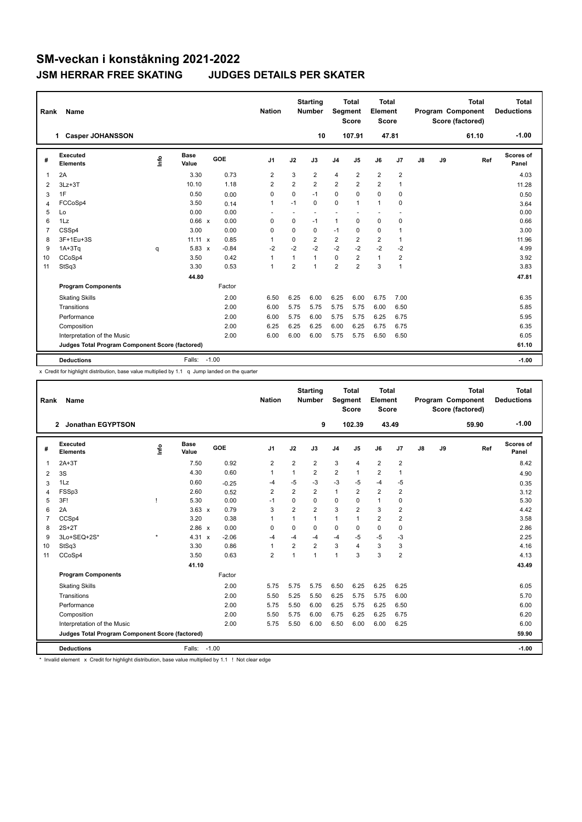| Rank           | Name                                            |      |                      |         | <b>Nation</b>  |                | <b>Starting</b><br><b>Number</b> | Segment        | <b>Total</b><br><b>Score</b> | <b>Total</b><br>Element<br><b>Score</b> |                         |               |    | <b>Total</b><br>Program Component<br>Score (factored) | <b>Total</b><br><b>Deductions</b> |
|----------------|-------------------------------------------------|------|----------------------|---------|----------------|----------------|----------------------------------|----------------|------------------------------|-----------------------------------------|-------------------------|---------------|----|-------------------------------------------------------|-----------------------------------|
|                | 1 Casper JOHANSSON                              |      |                      |         |                |                | 10                               |                | 107.91                       |                                         | 47.81                   |               |    | 61.10                                                 | $-1.00$                           |
| #              | <b>Executed</b><br><b>Elements</b>              | lnfo | <b>Base</b><br>Value | GOE     | J <sub>1</sub> | J2             | J3                               | J <sub>4</sub> | J5                           | J6                                      | J7                      | $\mathsf{J}8$ | J9 | Ref                                                   | Scores of<br>Panel                |
| 1              | 2A                                              |      | 3.30                 | 0.73    | $\overline{2}$ | 3              | $\overline{2}$                   | $\overline{4}$ | $\overline{2}$               | $\overline{2}$                          | $\overline{2}$          |               |    |                                                       | 4.03                              |
| 2              | $3Lz + 3T$                                      |      | 10.10                | 1.18    | $\overline{2}$ | $\overline{2}$ | $\overline{2}$                   | $\overline{2}$ | $\overline{2}$               | $\overline{2}$                          | 1                       |               |    |                                                       | 11.28                             |
| 3              | 1F                                              |      | 0.50                 | 0.00    | $\mathbf 0$    | 0              | $-1$                             | 0              | 0                            | $\mathbf 0$                             | 0                       |               |    |                                                       | 0.50                              |
| $\overline{4}$ | FCCoSp4                                         |      | 3.50                 | 0.14    | 1              | $-1$           | $\mathbf 0$                      | 0              | 1                            | $\mathbf{1}$                            | 0                       |               |    |                                                       | 3.64                              |
| 5              | Lo                                              |      | 0.00                 | 0.00    |                | $\sim$         | $\sim$                           |                |                              | $\overline{\phantom{a}}$                |                         |               |    |                                                       | 0.00                              |
| 6              | 1Lz                                             |      | $0.66 \times$        | 0.00    | 0              | 0              | $-1$                             | $\mathbf{1}$   | $\Omega$                     | $\mathbf 0$                             | 0                       |               |    |                                                       | 0.66                              |
| $\overline{7}$ | CSSp4                                           |      | 3.00                 | 0.00    | 0              | 0              | $\mathbf 0$                      | $-1$           | 0                            | $\mathbf 0$                             | 1                       |               |    |                                                       | 3.00                              |
| 8              | 3F+1Eu+3S                                       |      | $11.11 \times$       | 0.85    | 1              | 0              | $\overline{2}$                   | $\overline{2}$ | $\overline{2}$               | $\overline{2}$                          | 1                       |               |    |                                                       | 11.96                             |
| 9              | $1A+3Tq$                                        | q    | $5.83 \times$        | $-0.84$ | $-2$           | $-2$           | $-2$                             | $-2$           | $-2$                         | $-2$                                    | $-2$                    |               |    |                                                       | 4.99                              |
| 10             | CCoSp4                                          |      | 3.50                 | 0.42    | 1              | 1              | $\mathbf{1}$                     | 0              | $\overline{2}$               | $\mathbf{1}$                            | $\overline{\mathbf{c}}$ |               |    |                                                       | 3.92                              |
| 11             | StSq3                                           |      | 3.30                 | 0.53    | 1              | $\overline{2}$ | $\mathbf{1}$                     | $\overline{2}$ | $\overline{2}$               | 3                                       | 1                       |               |    |                                                       | 3.83                              |
|                |                                                 |      | 44.80                |         |                |                |                                  |                |                              |                                         |                         |               |    |                                                       | 47.81                             |
|                | <b>Program Components</b>                       |      |                      | Factor  |                |                |                                  |                |                              |                                         |                         |               |    |                                                       |                                   |
|                | <b>Skating Skills</b>                           |      |                      | 2.00    | 6.50           | 6.25           | 6.00                             | 6.25           | 6.00                         | 6.75                                    | 7.00                    |               |    |                                                       | 6.35                              |
|                | Transitions                                     |      |                      | 2.00    | 6.00           | 5.75           | 5.75                             | 5.75           | 5.75                         | 6.00                                    | 6.50                    |               |    |                                                       | 5.85                              |
|                | Performance                                     |      |                      | 2.00    | 6.00           | 5.75           | 6.00                             | 5.75           | 5.75                         | 6.25                                    | 6.75                    |               |    |                                                       | 5.95                              |
|                | Composition                                     |      |                      | 2.00    | 6.25           | 6.25           | 6.25                             | 6.00           | 6.25                         | 6.75                                    | 6.75                    |               |    |                                                       | 6.35                              |
|                | Interpretation of the Music                     |      |                      | 2.00    | 6.00           | 6.00           | 6.00                             | 5.75           | 5.75                         | 6.50                                    | 6.50                    |               |    |                                                       | 6.05                              |
|                | Judges Total Program Component Score (factored) |      |                      |         |                |                |                                  |                |                              |                                         |                         |               |    |                                                       | 61.10                             |
|                | <b>Deductions</b>                               |      | Falls:               | $-1.00$ |                |                |                                  |                |                              |                                         |                         |               |    |                                                       | $-1.00$                           |

x Credit for highlight distribution, base value multiplied by 1.1 q Jump landed on the quarter

| Rank           | Name                                            |         |                      |            | <b>Nation</b>           |                         | <b>Starting</b><br><b>Number</b> | Segment                 | <b>Total</b><br><b>Score</b> | Total<br>Element<br><b>Score</b> |                |    |    | <b>Total</b><br>Program Component<br>Score (factored) | <b>Total</b><br><b>Deductions</b> |
|----------------|-------------------------------------------------|---------|----------------------|------------|-------------------------|-------------------------|----------------------------------|-------------------------|------------------------------|----------------------------------|----------------|----|----|-------------------------------------------------------|-----------------------------------|
|                | <b>Jonathan EGYPTSON</b><br>$\mathbf{2}$        |         |                      |            |                         |                         | 9                                |                         | 102.39                       | 43.49                            |                |    |    | 59.90                                                 | $-1.00$                           |
| #              | <b>Executed</b><br><b>Elements</b>              | Info    | <b>Base</b><br>Value | <b>GOE</b> | J <sub>1</sub>          | J2                      | J3                               | J <sub>4</sub>          | J5                           | J6                               | J7             | J8 | J9 | Ref                                                   | <b>Scores of</b><br>Panel         |
| 1              | $2A+3T$                                         |         | 7.50                 | 0.92       | $\overline{2}$          | $\overline{2}$          | $\overline{2}$                   | 3                       | $\overline{4}$               | $\overline{2}$                   | $\overline{2}$ |    |    |                                                       | 8.42                              |
| 2              | 3S                                              |         | 4.30                 | 0.60       | 1                       |                         | $\overline{\mathbf{c}}$          | $\overline{\mathbf{c}}$ | 1                            | $\overline{\mathbf{c}}$          | 1              |    |    |                                                       | 4.90                              |
| 3              | 1Lz                                             |         | 0.60                 | $-0.25$    | -4                      | $-5$                    | $-3$                             | $-3$                    | $-5$                         | $-4$                             | $-5$           |    |    |                                                       | 0.35                              |
| 4              | FSSp3                                           |         | 2.60                 | 0.52       | $\overline{2}$          | $\overline{\mathbf{c}}$ | $\overline{\mathbf{c}}$          | $\mathbf{1}$            | 2                            | $\overline{2}$                   | $\overline{2}$ |    |    |                                                       | 3.12                              |
| 5              | 3F!                                             |         | 5.30                 | 0.00       | $-1$                    | 0                       | 0                                | 0                       | 0                            | $\mathbf{1}$                     | 0              |    |    |                                                       | 5.30                              |
| 6              | 2A                                              |         | $3.63 \times$        | 0.79       | 3                       | $\overline{2}$          | $\overline{2}$                   | 3                       | $\overline{2}$               | 3                                | $\overline{2}$ |    |    |                                                       | 4.42                              |
| $\overline{7}$ | CCSp4                                           |         | 3.20                 | 0.38       | 1                       | $\mathbf{1}$            | 1                                | $\mathbf{1}$            | $\overline{1}$               | $\overline{2}$                   | $\overline{2}$ |    |    |                                                       | 3.58                              |
| 8              | $2S+2T$                                         |         | $2.86 \times$        | 0.00       | 0                       | 0                       | 0                                | 0                       | 0                            | 0                                | 0              |    |    |                                                       | 2.86                              |
| 9              | 3Lo+SEQ+2S*                                     | $\star$ | $4.31 \times$        | $-2.06$    | -4                      | $-4$                    | $-4$                             | $-4$                    | $-5$                         | $-5$                             | $-3$           |    |    |                                                       | 2.25                              |
| 10             | StSq3                                           |         | 3.30                 | 0.86       | $\mathbf{1}$            | $\overline{2}$          | $\overline{2}$                   | 3                       | 4                            | 3                                | 3              |    |    |                                                       | 4.16                              |
| 11             | CCoSp4                                          |         | 3.50                 | 0.63       | $\overline{\mathbf{c}}$ | 1                       | $\mathbf{1}$                     | $\overline{1}$          | 3                            | 3                                | $\overline{2}$ |    |    |                                                       | 4.13                              |
|                |                                                 |         | 41.10                |            |                         |                         |                                  |                         |                              |                                  |                |    |    |                                                       | 43.49                             |
|                | <b>Program Components</b>                       |         |                      | Factor     |                         |                         |                                  |                         |                              |                                  |                |    |    |                                                       |                                   |
|                | <b>Skating Skills</b>                           |         |                      | 2.00       | 5.75                    | 5.75                    | 5.75                             | 6.50                    | 6.25                         | 6.25                             | 6.25           |    |    |                                                       | 6.05                              |
|                | Transitions                                     |         |                      | 2.00       | 5.50                    | 5.25                    | 5.50                             | 6.25                    | 5.75                         | 5.75                             | 6.00           |    |    |                                                       | 5.70                              |
|                | Performance                                     |         |                      | 2.00       | 5.75                    | 5.50                    | 6.00                             | 6.25                    | 5.75                         | 6.25                             | 6.50           |    |    |                                                       | 6.00                              |
|                | Composition                                     |         |                      | 2.00       | 5.50                    | 5.75                    | 6.00                             | 6.75                    | 6.25                         | 6.25                             | 6.75           |    |    |                                                       | 6.20                              |
|                | Interpretation of the Music                     |         |                      | 2.00       | 5.75                    | 5.50                    | 6.00                             | 6.50                    | 6.00                         | 6.00                             | 6.25           |    |    |                                                       | 6.00                              |
|                | Judges Total Program Component Score (factored) |         |                      |            |                         |                         |                                  |                         |                              |                                  |                |    |    |                                                       | 59.90                             |
|                | <b>Deductions</b>                               |         | Falls: -1.00         |            |                         |                         |                                  |                         |                              |                                  |                |    |    |                                                       | $-1.00$                           |

\* Invalid element x Credit for highlight distribution, base value multiplied by 1.1 ! Not clear edge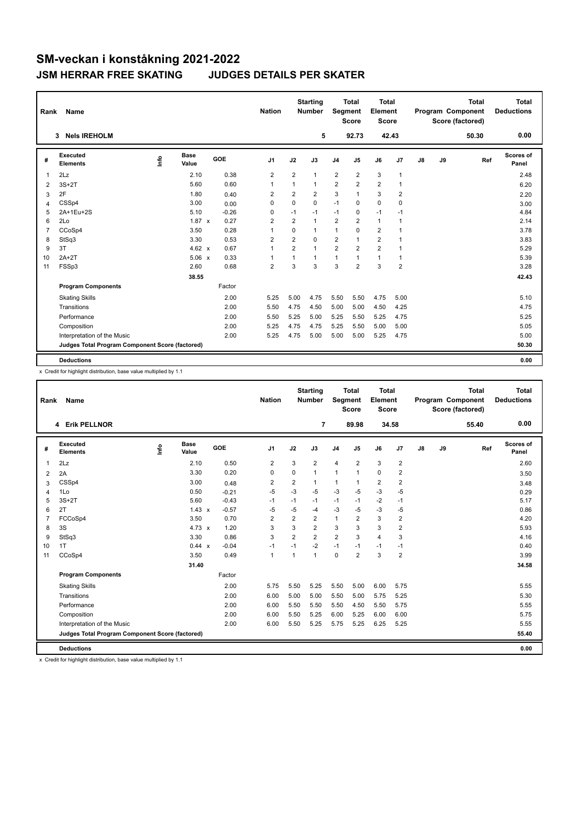| Rank           | Name                                            |      |                      |         | <b>Nation</b>           |                         | <b>Starting</b><br><b>Number</b> |                | <b>Total</b><br>Segment<br><b>Score</b> | <b>Total</b><br>Element<br><b>Score</b> |                |               |    | <b>Total</b><br><b>Program Component</b><br>Score (factored) | <b>Total</b><br><b>Deductions</b> |
|----------------|-------------------------------------------------|------|----------------------|---------|-------------------------|-------------------------|----------------------------------|----------------|-----------------------------------------|-----------------------------------------|----------------|---------------|----|--------------------------------------------------------------|-----------------------------------|
|                | <b>Nels IREHOLM</b><br>3                        |      |                      |         |                         |                         | 5                                |                | 92.73                                   |                                         | 42.43          |               |    | 50.30                                                        | 0.00                              |
| #              | Executed<br><b>Elements</b>                     | ١rfo | <b>Base</b><br>Value | GOE     | J <sub>1</sub>          | J2                      | J3                               | J <sub>4</sub> | J5                                      | J6                                      | J7             | $\mathsf{J}8$ | J9 | Ref                                                          | Scores of<br>Panel                |
| 1              | 2Lz                                             |      | 2.10                 | 0.38    | $\overline{2}$          | $\overline{2}$          | $\mathbf{1}$                     | $\overline{2}$ | $\overline{2}$                          | 3                                       | $\mathbf{1}$   |               |    |                                                              | 2.48                              |
| 2              | $3S+2T$                                         |      | 5.60                 | 0.60    | 1                       | 1                       | $\mathbf{1}$                     | $\overline{2}$ | $\overline{2}$                          | $\overline{2}$                          | $\mathbf 1$    |               |    |                                                              | 6.20                              |
| 3              | 2F                                              |      | 1.80                 | 0.40    | 2                       | $\overline{2}$          | 2                                | 3              | $\mathbf{1}$                            | 3                                       | $\overline{2}$ |               |    |                                                              | 2.20                              |
| 4              | CSSp4                                           |      | 3.00                 | 0.00    | $\Omega$                | $\Omega$                | $\Omega$                         | $-1$           | $\Omega$                                | $\Omega$                                | 0              |               |    |                                                              | 3.00                              |
| 5              | 2A+1Eu+2S                                       |      | 5.10                 | $-0.26$ | 0                       | $-1$                    | $-1$                             | $-1$           | 0                                       | $-1$                                    | $-1$           |               |    |                                                              | 4.84                              |
| 6              | 2Lo                                             |      | $1.87 \times$        | 0.27    | $\overline{\mathbf{c}}$ | $\overline{\mathbf{c}}$ | $\mathbf{1}$                     | 2              | $\overline{\mathbf{c}}$                 | $\mathbf{1}$                            | $\mathbf{1}$   |               |    |                                                              | 2.14                              |
| $\overline{7}$ | CCoSp4                                          |      | 3.50                 | 0.28    | $\overline{1}$          | $\Omega$                | 1                                | 1              | $\Omega$                                | $\overline{2}$                          | $\mathbf{1}$   |               |    |                                                              | 3.78                              |
| 8              | StSq3                                           |      | 3.30                 | 0.53    | $\overline{2}$          | $\overline{2}$          | $\Omega$                         | $\overline{2}$ | 1                                       | $\overline{2}$                          | $\overline{1}$ |               |    |                                                              | 3.83                              |
| 9              | 3T                                              |      | 4.62 $\times$        | 0.67    | $\overline{1}$          | $\overline{2}$          | $\mathbf{1}$                     | $\overline{2}$ | $\overline{2}$                          | $\overline{2}$                          | $\mathbf{1}$   |               |    |                                                              | 5.29                              |
| 10             | $2A+2T$                                         |      | $5.06 \times$        | 0.33    | $\overline{1}$          | 1                       | $\mathbf{1}$                     | 1              | 1                                       | $\mathbf{1}$                            | $\mathbf{1}$   |               |    |                                                              | 5.39                              |
| 11             | FSSp3                                           |      | 2.60                 | 0.68    | $\overline{2}$          | 3                       | 3                                | 3              | $\overline{2}$                          | 3                                       | $\overline{2}$ |               |    |                                                              | 3.28                              |
|                |                                                 |      | 38.55                |         |                         |                         |                                  |                |                                         |                                         |                |               |    |                                                              | 42.43                             |
|                | <b>Program Components</b>                       |      |                      | Factor  |                         |                         |                                  |                |                                         |                                         |                |               |    |                                                              |                                   |
|                | <b>Skating Skills</b>                           |      |                      | 2.00    | 5.25                    | 5.00                    | 4.75                             | 5.50           | 5.50                                    | 4.75                                    | 5.00           |               |    |                                                              | 5.10                              |
|                | Transitions                                     |      |                      | 2.00    | 5.50                    | 4.75                    | 4.50                             | 5.00           | 5.00                                    | 4.50                                    | 4.25           |               |    |                                                              | 4.75                              |
|                | Performance                                     |      |                      | 2.00    | 5.50                    | 5.25                    | 5.00                             | 5.25           | 5.50                                    | 5.25                                    | 4.75           |               |    |                                                              | 5.25                              |
|                | Composition                                     |      |                      | 2.00    | 5.25                    | 4.75                    | 4.75                             | 5.25           | 5.50                                    | 5.00                                    | 5.00           |               |    |                                                              | 5.05                              |
|                | Interpretation of the Music                     |      |                      | 2.00    | 5.25                    | 4.75                    | 5.00                             | 5.00           | 5.00                                    | 5.25                                    | 4.75           |               |    |                                                              | 5.00                              |
|                | Judges Total Program Component Score (factored) |      |                      |         |                         |                         |                                  |                |                                         |                                         |                |               |    |                                                              | 50.30                             |
|                | <b>Deductions</b>                               |      |                      |         |                         |                         |                                  |                |                                         |                                         |                |               |    |                                                              | 0.00                              |

x Credit for highlight distribution, base value multiplied by 1.1

| Rank           | Name                                            |    |               |     |         | <b>Nation</b>  |                | <b>Starting</b><br><b>Number</b> | Segment        | <b>Total</b><br><b>Score</b> | <b>Total</b><br>Element<br><b>Score</b> |                |    |    | <b>Total</b><br>Program Component<br>Score (factored) | <b>Total</b><br><b>Deductions</b> |
|----------------|-------------------------------------------------|----|---------------|-----|---------|----------------|----------------|----------------------------------|----------------|------------------------------|-----------------------------------------|----------------|----|----|-------------------------------------------------------|-----------------------------------|
|                | 4 Erik PELLNOR                                  |    |               |     |         |                |                | $\overline{7}$                   |                | 89.98                        | 34.58                                   |                |    |    | 55.40                                                 | 0.00                              |
| #              | Executed<br><b>Elements</b>                     | ۴٥ | Base<br>Value | GOE |         | J1             | J2             | J3                               | J <sub>4</sub> | J5                           | J6                                      | J7             | J8 | J9 | Ref                                                   | Scores of<br>Panel                |
| $\mathbf{1}$   | 2Lz                                             |    | 2.10          |     | 0.50    | $\overline{2}$ | 3              | $\overline{2}$                   | $\overline{4}$ | $\overline{2}$               | 3                                       | $\overline{2}$ |    |    |                                                       | 2.60                              |
| 2              | 2A                                              |    | 3.30          |     | 0.20    | 0              | 0              | 1                                | $\mathbf{1}$   | 1                            | $\mathbf 0$                             | $\overline{2}$ |    |    |                                                       | 3.50                              |
| 3              | CSSp4                                           |    | 3.00          |     | 0.48    | $\overline{2}$ | $\overline{2}$ | 1                                | $\mathbf{1}$   | 1                            | 2                                       | 2              |    |    |                                                       | 3.48                              |
| 4              | 1Lo                                             |    | 0.50          |     | $-0.21$ | $-5$           | $-3$           | $-5$                             | -3             | $-5$                         | $-3$                                    | $-5$           |    |    |                                                       | 0.29                              |
| 5              | $3S+2T$                                         |    | 5.60          |     | $-0.43$ | $-1$           | $-1$           | $-1$                             | $-1$           | $-1$                         | $-2$                                    | $-1$           |    |    |                                                       | 5.17                              |
| 6              | 2T                                              |    | $1.43 \times$ |     | $-0.57$ | $-5$           | $-5$           | $-4$                             | $-3$           | $-5$                         | $-3$                                    | $-5$           |    |    |                                                       | 0.86                              |
| $\overline{7}$ | FCCoSp4                                         |    | 3.50          |     | 0.70    | 2              | $\overline{2}$ | $\overline{2}$                   | $\mathbf{1}$   | $\overline{2}$               | 3                                       | $\overline{2}$ |    |    |                                                       | 4.20                              |
| 8              | 3S                                              |    | 4.73 $\times$ |     | 1.20    | 3              | 3              | $\overline{2}$                   | 3              | 3                            | 3                                       | $\overline{2}$ |    |    |                                                       | 5.93                              |
| 9              | StSq3                                           |    | 3.30          |     | 0.86    | 3              | $\overline{2}$ | $\overline{2}$                   | $\overline{2}$ | 3                            | $\overline{4}$                          | 3              |    |    |                                                       | 4.16                              |
| 10             | 1T                                              |    | 0.44 x        |     | $-0.04$ | $-1$           | $-1$           | $-2$                             | $-1$           | $-1$                         | $-1$                                    | $-1$           |    |    |                                                       | 0.40                              |
| 11             | CCoSp4                                          |    | 3.50          |     | 0.49    | $\mathbf{1}$   | 1              | 1                                | $\mathbf 0$    | $\overline{2}$               | 3                                       | $\overline{2}$ |    |    |                                                       | 3.99                              |
|                |                                                 |    | 31.40         |     |         |                |                |                                  |                |                              |                                         |                |    |    |                                                       | 34.58                             |
|                | <b>Program Components</b>                       |    |               |     | Factor  |                |                |                                  |                |                              |                                         |                |    |    |                                                       |                                   |
|                | <b>Skating Skills</b>                           |    |               |     | 2.00    | 5.75           | 5.50           | 5.25                             | 5.50           | 5.00                         | 6.00                                    | 5.75           |    |    |                                                       | 5.55                              |
|                | Transitions                                     |    |               |     | 2.00    | 6.00           | 5.00           | 5.00                             | 5.50           | 5.00                         | 5.75                                    | 5.25           |    |    |                                                       | 5.30                              |
|                | Performance                                     |    |               |     | 2.00    | 6.00           | 5.50           | 5.50                             | 5.50           | 4.50                         | 5.50                                    | 5.75           |    |    |                                                       | 5.55                              |
|                | Composition                                     |    |               |     | 2.00    | 6.00           | 5.50           | 5.25                             | 6.00           | 5.25                         | 6.00                                    | 6.00           |    |    |                                                       | 5.75                              |
|                | Interpretation of the Music                     |    |               |     | 2.00    | 6.00           | 5.50           | 5.25                             | 5.75           | 5.25                         | 6.25                                    | 5.25           |    |    |                                                       | 5.55                              |
|                | Judges Total Program Component Score (factored) |    |               |     |         |                |                |                                  |                |                              |                                         |                |    |    |                                                       | 55.40                             |
|                | <b>Deductions</b>                               |    |               |     |         |                |                |                                  |                |                              |                                         |                |    |    |                                                       | 0.00                              |

x Credit for highlight distribution, base value multiplied by 1.1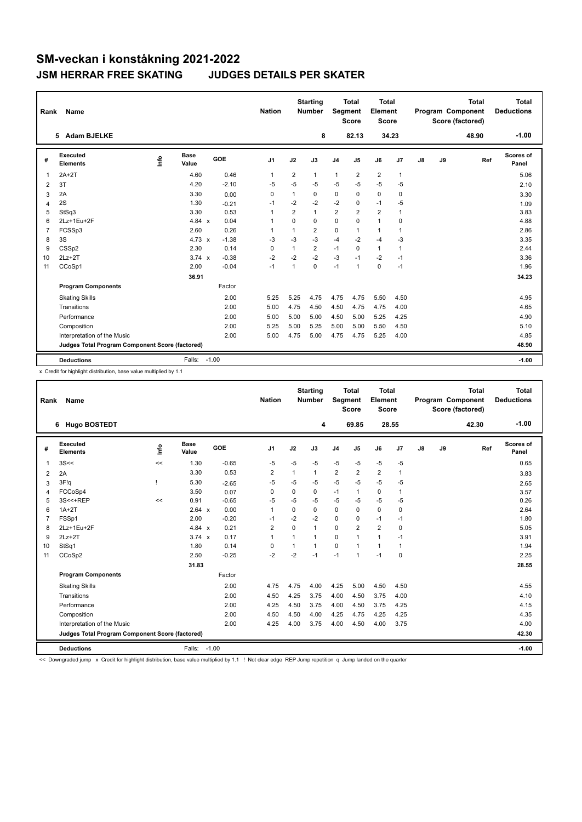| Rank           | Name                                            |      |                      |         |            | <b>Nation</b>  |                | <b>Starting</b><br><b>Number</b> | Segment        | <b>Total</b><br><b>Score</b> | <b>Total</b><br>Element<br><b>Score</b> |                |    |    | <b>Total</b><br>Program Component<br>Score (factored) | <b>Total</b><br><b>Deductions</b> |
|----------------|-------------------------------------------------|------|----------------------|---------|------------|----------------|----------------|----------------------------------|----------------|------------------------------|-----------------------------------------|----------------|----|----|-------------------------------------------------------|-----------------------------------|
|                | 5 Adam BJELKE                                   |      |                      |         |            |                |                | 8                                |                | 82.13                        |                                         | 34.23          |    |    | 48.90                                                 | $-1.00$                           |
| #              | Executed<br><b>Elements</b>                     | ١rfo | <b>Base</b><br>Value |         | <b>GOE</b> | J <sub>1</sub> | J2             | J3                               | J <sub>4</sub> | J <sub>5</sub>               | J6                                      | J <sub>7</sub> | J8 | J9 | Ref                                                   | Scores of<br>Panel                |
| 1              | $2A+2T$                                         |      | 4.60                 |         | 0.46       | 1              | 2              | $\mathbf{1}$                     | $\mathbf{1}$   | 2                            | $\overline{2}$                          | $\mathbf{1}$   |    |    |                                                       | 5.06                              |
| 2              | 3T                                              |      | 4.20                 |         | $-2.10$    | $-5$           | $-5$           | $-5$                             | $-5$           | $-5$                         | $-5$                                    | $-5$           |    |    |                                                       | 2.10                              |
| 3              | 2A                                              |      | 3.30                 |         | 0.00       | 0              | 1              | 0                                | 0              | 0                            | $\mathbf 0$                             | 0              |    |    |                                                       | 3.30                              |
| 4              | 2S                                              |      | 1.30                 |         | $-0.21$    | $-1$           | $-2$           | $-2$                             | $-2$           | $\Omega$                     | $-1$                                    | $-5$           |    |    |                                                       | 1.09                              |
| 5              | StSq3                                           |      | 3.30                 |         | 0.53       | 1              | $\overline{2}$ | $\mathbf{1}$                     | $\overline{2}$ | $\overline{2}$               | $\overline{2}$                          | $\overline{1}$ |    |    |                                                       | 3.83                              |
| 6              | 2Lz+1Eu+2F                                      |      | 4.84 $x$             |         | 0.04       | 1              | $\Omega$       | 0                                | 0              | $\Omega$                     | $\mathbf{1}$                            | $\mathbf 0$    |    |    |                                                       | 4.88                              |
| $\overline{7}$ | FCSSp3                                          |      | 2.60                 |         | 0.26       | 1              | 1              | $\overline{2}$                   | 0              | 1                            | $\mathbf{1}$                            | $\overline{1}$ |    |    |                                                       | 2.86                              |
| 8              | 3S                                              |      | $4.73 \times$        |         | $-1.38$    | $-3$           | $-3$           | $-3$                             | $-4$           | $-2$                         | $-4$                                    | $-3$           |    |    |                                                       | 3.35                              |
| 9              | CSSp2                                           |      | 2.30                 |         | 0.14       | $\Omega$       | 1              | $\overline{2}$                   | $-1$           | $\Omega$                     | $\mathbf{1}$                            | $\overline{1}$ |    |    |                                                       | 2.44                              |
| 10             | $2Lz+2T$                                        |      | $3.74 \times$        |         | $-0.38$    | $-2$           | $-2$           | $-2$                             | $-3$           | $-1$                         | $-2$                                    | $-1$           |    |    |                                                       | 3.36                              |
| 11             | CCoSp1                                          |      | 2.00                 |         | $-0.04$    | $-1$           | 1              | $\mathbf 0$                      | $-1$           | $\mathbf{1}$                 | $\mathbf 0$                             | $-1$           |    |    |                                                       | 1.96                              |
|                |                                                 |      | 36.91                |         |            |                |                |                                  |                |                              |                                         |                |    |    |                                                       | 34.23                             |
|                | <b>Program Components</b>                       |      |                      |         | Factor     |                |                |                                  |                |                              |                                         |                |    |    |                                                       |                                   |
|                | <b>Skating Skills</b>                           |      |                      |         | 2.00       | 5.25           | 5.25           | 4.75                             | 4.75           | 4.75                         | 5.50                                    | 4.50           |    |    |                                                       | 4.95                              |
|                | Transitions                                     |      |                      |         | 2.00       | 5.00           | 4.75           | 4.50                             | 4.50           | 4.75                         | 4.75                                    | 4.00           |    |    |                                                       | 4.65                              |
|                | Performance                                     |      |                      |         | 2.00       | 5.00           | 5.00           | 5.00                             | 4.50           | 5.00                         | 5.25                                    | 4.25           |    |    |                                                       | 4.90                              |
|                | Composition                                     |      |                      |         | 2.00       | 5.25           | 5.00           | 5.25                             | 5.00           | 5.00                         | 5.50                                    | 4.50           |    |    |                                                       | 5.10                              |
|                | Interpretation of the Music                     |      |                      |         | 2.00       | 5.00           | 4.75           | 5.00                             | 4.75           | 4.75                         | 5.25                                    | 4.00           |    |    |                                                       | 4.85                              |
|                | Judges Total Program Component Score (factored) |      |                      |         |            |                |                |                                  |                |                              |                                         |                |    |    |                                                       | 48.90                             |
|                | <b>Deductions</b>                               |      | Falls:               | $-1.00$ |            |                |                |                                  |                |                              |                                         |                |    |    |                                                       | $-1.00$                           |

x Credit for highlight distribution, base value multiplied by 1.1

| Rank           | Name                                            |      |                      |         | <b>Nation</b>  |      | <b>Starting</b><br><b>Number</b> | Segment        | <b>Total</b><br><b>Score</b> | <b>Total</b><br>Element<br><b>Score</b> |             |    |    | <b>Total</b><br>Program Component<br>Score (factored) | <b>Total</b><br><b>Deductions</b> |
|----------------|-------------------------------------------------|------|----------------------|---------|----------------|------|----------------------------------|----------------|------------------------------|-----------------------------------------|-------------|----|----|-------------------------------------------------------|-----------------------------------|
|                | <b>Hugo BOSTEDT</b><br>6                        |      |                      |         |                |      | 4                                |                | 69.85                        | 28.55                                   |             |    |    | 42.30                                                 | $-1.00$                           |
| #              | Executed<br><b>Elements</b>                     | info | <b>Base</b><br>Value | GOE     | J1             | J2   | J3                               | J <sub>4</sub> | J5                           | J6                                      | J7          | J8 | J9 | Ref                                                   | <b>Scores of</b><br>Panel         |
| 1              | 3S<<                                            | <<   | 1.30                 | $-0.65$ | $-5$           | $-5$ | $-5$                             | -5             | $-5$                         | $-5$                                    | $-5$        |    |    |                                                       | 0.65                              |
| 2              | 2A                                              |      | 3.30                 | 0.53    | 2              | 1    | 1                                | $\overline{2}$ | $\overline{2}$               | $\overline{2}$                          | 1           |    |    |                                                       | 3.83                              |
| 3              | 3F!q                                            |      | 5.30                 | $-2.65$ | $-5$           | $-5$ | $-5$                             | $-5$           | $-5$                         | $-5$                                    | $-5$        |    |    |                                                       | 2.65                              |
| $\overline{4}$ | FCCoSp4                                         |      | 3.50                 | 0.07    | $\mathbf 0$    | 0    | 0                                | $-1$           | 1                            | $\pmb{0}$                               | 1           |    |    |                                                       | 3.57                              |
| 5              | 3S<<+REP                                        | <<   | 0.91                 | $-0.65$ | $-5$           | $-5$ | $-5$                             | $-5$           | $-5$                         | $-5$                                    | $-5$        |    |    |                                                       | 0.26                              |
| 6              | $1A+2T$                                         |      | 2.64 x               | 0.00    | 1              | 0    | 0                                | 0              | $\Omega$                     | $\mathbf 0$                             | 0           |    |    |                                                       | 2.64                              |
| 7              | FSSp1                                           |      | 2.00                 | $-0.20$ | $-1$           | $-2$ | $-2$                             | 0              | $\Omega$                     | $-1$                                    | $-1$        |    |    |                                                       | 1.80                              |
| 8              | 2Lz+1Eu+2F                                      |      | 4.84 $x$             | 0.21    | $\overline{2}$ | 0    | 1                                | 0              | $\overline{2}$               | $\overline{2}$                          | 0           |    |    |                                                       | 5.05                              |
| 9              | $2Lz+2T$                                        |      | $3.74 \times$        | 0.17    | 1              | 1    | 1                                | 0              | 1                            | $\mathbf{1}$                            | $-1$        |    |    |                                                       | 3.91                              |
| 10             | StSq1                                           |      | 1.80                 | 0.14    | $\mathbf 0$    | 1    | 1                                | 0              | 1                            | $\mathbf{1}$                            | 1           |    |    |                                                       | 1.94                              |
| 11             | CCoSp2                                          |      | 2.50                 | $-0.25$ | $-2$           | $-2$ | $-1$                             | $-1$           | 1                            | $-1$                                    | $\mathbf 0$ |    |    |                                                       | 2.25                              |
|                |                                                 |      | 31.83                |         |                |      |                                  |                |                              |                                         |             |    |    |                                                       | 28.55                             |
|                | <b>Program Components</b>                       |      |                      | Factor  |                |      |                                  |                |                              |                                         |             |    |    |                                                       |                                   |
|                | <b>Skating Skills</b>                           |      |                      | 2.00    | 4.75           | 4.75 | 4.00                             | 4.25           | 5.00                         | 4.50                                    | 4.50        |    |    |                                                       | 4.55                              |
|                | Transitions                                     |      |                      | 2.00    | 4.50           | 4.25 | 3.75                             | 4.00           | 4.50                         | 3.75                                    | 4.00        |    |    |                                                       | 4.10                              |
|                | Performance                                     |      |                      | 2.00    | 4.25           | 4.50 | 3.75                             | 4.00           | 4.50                         | 3.75                                    | 4.25        |    |    |                                                       | 4.15                              |
|                | Composition                                     |      |                      | 2.00    | 4.50           | 4.50 | 4.00                             | 4.25           | 4.75                         | 4.25                                    | 4.25        |    |    |                                                       | 4.35                              |
|                | Interpretation of the Music                     |      |                      | 2.00    | 4.25           | 4.00 | 3.75                             | 4.00           | 4.50                         | 4.00                                    | 3.75        |    |    |                                                       | 4.00                              |
|                | Judges Total Program Component Score (factored) |      |                      |         |                |      |                                  |                |                              |                                         |             |    |    |                                                       | 42.30                             |
|                | <b>Deductions</b>                               |      | Falls: -1.00         |         |                |      |                                  |                |                              |                                         |             |    |    |                                                       | $-1.00$                           |

<< Downgraded jump x Credit for highlight distribution, base value multiplied by 1.1 ! Not clear edge REP Jump repetition q Jump landed on the quarter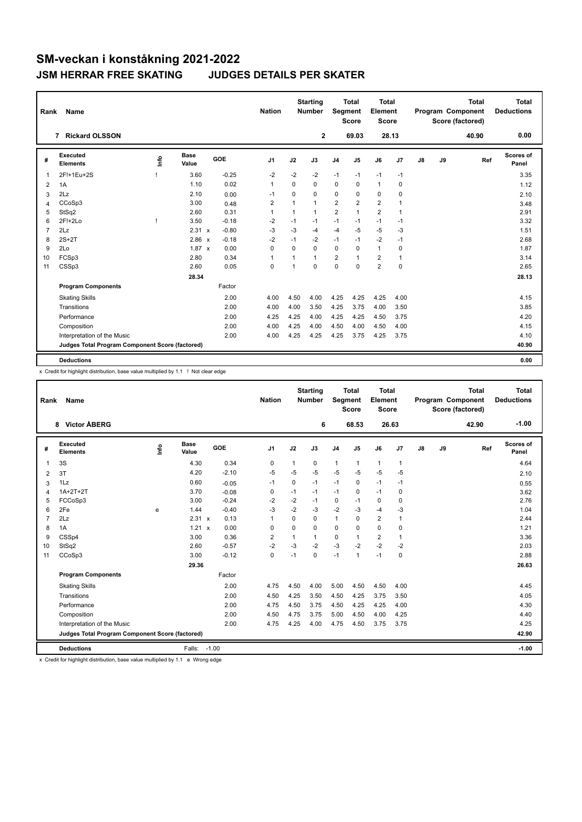| Rank           | Name                                            |      |                      |         | <b>Nation</b>  |              | <b>Starting</b><br><b>Number</b> |                | <b>Total</b><br>Segment<br><b>Score</b> | <b>Total</b><br>Element<br><b>Score</b> |              |               |    | <b>Total</b><br><b>Program Component</b><br>Score (factored) | <b>Total</b><br><b>Deductions</b> |
|----------------|-------------------------------------------------|------|----------------------|---------|----------------|--------------|----------------------------------|----------------|-----------------------------------------|-----------------------------------------|--------------|---------------|----|--------------------------------------------------------------|-----------------------------------|
|                | <b>Rickard OLSSON</b><br>$\overline{7}$         |      |                      |         |                |              | $\mathbf{2}$                     |                | 69.03                                   |                                         | 28.13        |               |    | 40.90                                                        | 0.00                              |
| #              | Executed<br><b>Elements</b>                     | Info | <b>Base</b><br>Value | GOE     | J <sub>1</sub> | J2           | J3                               | J <sub>4</sub> | J <sub>5</sub>                          | J6                                      | J7           | $\mathsf{J}8$ | J9 | Ref                                                          | Scores of<br>Panel                |
| 1              | 2F!+1Eu+2S                                      |      | 3.60                 | $-0.25$ | $-2$           | $-2$         | $-2$                             | $-1$           | $-1$                                    | $-1$                                    | $-1$         |               |    |                                                              | 3.35                              |
| 2              | 1A                                              |      | 1.10                 | 0.02    | 1              | $\Omega$     | 0                                | 0              | 0                                       | $\mathbf{1}$                            | 0            |               |    |                                                              | 1.12                              |
| 3              | 2Lz                                             |      | 2.10                 | 0.00    | $-1$           | $\Omega$     | 0                                | 0              | $\Omega$                                | 0                                       | $\mathbf 0$  |               |    |                                                              | 2.10                              |
| 4              | CCoSp3                                          |      | 3.00                 | 0.48    | $\overline{2}$ | $\mathbf{1}$ | $\mathbf{1}$                     | $\overline{2}$ | $\overline{2}$                          | $\overline{2}$                          | $\mathbf{1}$ |               |    |                                                              | 3.48                              |
| 5              | StSq2                                           |      | 2.60                 | 0.31    | $\overline{1}$ | 1            | $\mathbf{1}$                     | $\overline{2}$ | $\overline{1}$                          | $\overline{2}$                          | $\mathbf{1}$ |               |    |                                                              | 2.91                              |
| 6              | $2F!+2Lo$                                       |      | 3.50                 | $-0.18$ | $-2$           | $-1$         | $-1$                             | $-1$           | $-1$                                    | $-1$                                    | $-1$         |               |    |                                                              | 3.32                              |
| $\overline{7}$ | 2Lz                                             |      | 2.31 x               | $-0.80$ | $-3$           | $-3$         | $-4$                             | $-4$           | $-5$                                    | $-5$                                    | $-3$         |               |    |                                                              | 1.51                              |
| 8              | $2S+2T$                                         |      | 2.86 x               | $-0.18$ | $-2$           | $-1$         | $-2$                             | $-1$           | $-1$                                    | $-2$                                    | $-1$         |               |    |                                                              | 2.68                              |
| 9              | 2Lo                                             |      | $1.87 \times$        | 0.00    | $\Omega$       | $\Omega$     | $\Omega$                         | $\mathbf 0$    | $\Omega$                                | $\mathbf{1}$                            | 0            |               |    |                                                              | 1.87                              |
| 10             | FCSp3                                           |      | 2.80                 | 0.34    | $\mathbf{1}$   | 1            | $\mathbf{1}$                     | 2              | $\overline{1}$                          | $\overline{2}$                          | $\mathbf{1}$ |               |    |                                                              | 3.14                              |
| 11             | CSSp3                                           |      | 2.60                 | 0.05    | $\mathbf 0$    | 1            | $\Omega$                         | 0              | $\Omega$                                | $\overline{2}$                          | $\Omega$     |               |    |                                                              | 2.65                              |
|                |                                                 |      | 28.34                |         |                |              |                                  |                |                                         |                                         |              |               |    |                                                              | 28.13                             |
|                | <b>Program Components</b>                       |      |                      | Factor  |                |              |                                  |                |                                         |                                         |              |               |    |                                                              |                                   |
|                | <b>Skating Skills</b>                           |      |                      | 2.00    | 4.00           | 4.50         | 4.00                             | 4.25           | 4.25                                    | 4.25                                    | 4.00         |               |    |                                                              | 4.15                              |
|                | Transitions                                     |      |                      | 2.00    | 4.00           | 4.00         | 3.50                             | 4.25           | 3.75                                    | 4.00                                    | 3.50         |               |    |                                                              | 3.85                              |
|                | Performance                                     |      |                      | 2.00    | 4.25           | 4.25         | 4.00                             | 4.25           | 4.25                                    | 4.50                                    | 3.75         |               |    |                                                              | 4.20                              |
|                | Composition                                     |      |                      | 2.00    | 4.00           | 4.25         | 4.00                             | 4.50           | 4.00                                    | 4.50                                    | 4.00         |               |    |                                                              | 4.15                              |
|                | Interpretation of the Music                     |      |                      | 2.00    | 4.00           | 4.25         | 4.25                             | 4.25           | 3.75                                    | 4.25                                    | 3.75         |               |    |                                                              | 4.10                              |
|                | Judges Total Program Component Score (factored) |      |                      |         |                |              |                                  |                |                                         |                                         |              |               |    |                                                              | 40.90                             |
|                | <b>Deductions</b>                               |      |                      |         |                |              |                                  |                |                                         |                                         |              |               |    |                                                              | 0.00                              |

x Credit for highlight distribution, base value multiplied by 1.1 ! Not clear edge

| Rank           | <b>Name</b>                                     |      |                      |         | <b>Nation</b>  |          | <b>Starting</b><br><b>Number</b> | Segment        | <b>Total</b><br><b>Score</b> | <b>Total</b><br>Element<br><b>Score</b> |              |               |    | <b>Total</b><br>Program Component<br>Score (factored) | <b>Total</b><br><b>Deductions</b> |
|----------------|-------------------------------------------------|------|----------------------|---------|----------------|----------|----------------------------------|----------------|------------------------------|-----------------------------------------|--------------|---------------|----|-------------------------------------------------------|-----------------------------------|
|                | <b>Victor ÅBERG</b><br>8                        |      |                      |         |                |          | 6                                |                | 68.53                        | 26.63                                   |              |               |    | 42.90                                                 | $-1.00$                           |
| #              | Executed<br><b>Elements</b>                     | Info | <b>Base</b><br>Value | GOE     | J <sub>1</sub> | J2       | J3                               | J <sub>4</sub> | J5                           | J6                                      | J7           | $\mathsf{J}8$ | J9 | Ref                                                   | <b>Scores of</b><br>Panel         |
| 1              | 3S                                              |      | 4.30                 | 0.34    | 0              | 1        | 0                                | $\mathbf{1}$   | 1                            | $\mathbf{1}$                            | $\mathbf{1}$ |               |    |                                                       | 4.64                              |
| 2              | 3T                                              |      | 4.20                 | $-2.10$ | $-5$           | $-5$     | $-5$                             | $-5$           | $-5$                         | $-5$                                    | $-5$         |               |    |                                                       | 2.10                              |
| 3              | 1Lz                                             |      | 0.60                 | $-0.05$ | $-1$           | 0        | $-1$                             | $-1$           | 0                            | $-1$                                    | $-1$         |               |    |                                                       | 0.55                              |
| 4              | $1A+2T+2T$                                      |      | 3.70                 | $-0.08$ | 0              | $-1$     | $-1$                             | $-1$           | 0                            | $-1$                                    | 0            |               |    |                                                       | 3.62                              |
| 5              | FCCoSp3                                         |      | 3.00                 | $-0.24$ | -2             | $-2$     | $-1$                             | 0              | $-1$                         | $\mathbf 0$                             | 0            |               |    |                                                       | 2.76                              |
| 6              | 2Fe                                             | e    | 1.44                 | $-0.40$ | -3             | $-2$     | $-3$                             | $-2$           | $-3$                         | $-4$                                    | $-3$         |               |    |                                                       | 1.04                              |
| $\overline{7}$ | 2Lz                                             |      | 2.31 x               | 0.13    | 1              | $\Omega$ | $\Omega$                         | $\mathbf{1}$   | 0                            | $\overline{\mathbf{c}}$                 | 1            |               |    |                                                       | 2.44                              |
| 8              | 1A                                              |      | 1.21<br>$\mathsf{x}$ | 0.00    | 0              | 0        | 0                                | $\mathbf 0$    | 0                            | $\mathbf 0$                             | 0            |               |    |                                                       | 1.21                              |
| 9              | CSSp4                                           |      | 3.00                 | 0.36    | $\overline{2}$ | 1        | 1                                | 0              | 1                            | $\overline{2}$                          | 1            |               |    |                                                       | 3.36                              |
| 10             | StSq2                                           |      | 2.60                 | $-0.57$ | $-2$           | $-3$     | $-2$                             | $-3$           | $-2$                         | $-2$                                    | $-2$         |               |    |                                                       | 2.03                              |
| 11             | CCoSp3                                          |      | 3.00                 | $-0.12$ | 0              | $-1$     | 0                                | $-1$           | 1                            | $-1$                                    | 0            |               |    |                                                       | 2.88                              |
|                |                                                 |      | 29.36                |         |                |          |                                  |                |                              |                                         |              |               |    |                                                       | 26.63                             |
|                | <b>Program Components</b>                       |      |                      | Factor  |                |          |                                  |                |                              |                                         |              |               |    |                                                       |                                   |
|                | <b>Skating Skills</b>                           |      |                      | 2.00    | 4.75           | 4.50     | 4.00                             | 5.00           | 4.50                         | 4.50                                    | 4.00         |               |    |                                                       | 4.45                              |
|                | Transitions                                     |      |                      | 2.00    | 4.50           | 4.25     | 3.50                             | 4.50           | 4.25                         | 3.75                                    | 3.50         |               |    |                                                       | 4.05                              |
|                | Performance                                     |      |                      | 2.00    | 4.75           | 4.50     | 3.75                             | 4.50           | 4.25                         | 4.25                                    | 4.00         |               |    |                                                       | 4.30                              |
|                | Composition                                     |      |                      | 2.00    | 4.50           | 4.75     | 3.75                             | 5.00           | 4.50                         | 4.00                                    | 4.25         |               |    |                                                       | 4.40                              |
|                | Interpretation of the Music                     |      |                      | 2.00    | 4.75           | 4.25     | 4.00                             | 4.75           | 4.50                         | 3.75                                    | 3.75         |               |    |                                                       | 4.25                              |
|                | Judges Total Program Component Score (factored) |      |                      |         |                |          |                                  |                |                              |                                         |              |               |    |                                                       | 42.90                             |
|                | <b>Deductions</b>                               |      | Falls:               | $-1.00$ |                |          |                                  |                |                              |                                         |              |               |    |                                                       | $-1.00$                           |

x Credit for highlight distribution, base value multiplied by 1.1 e Wrong edge